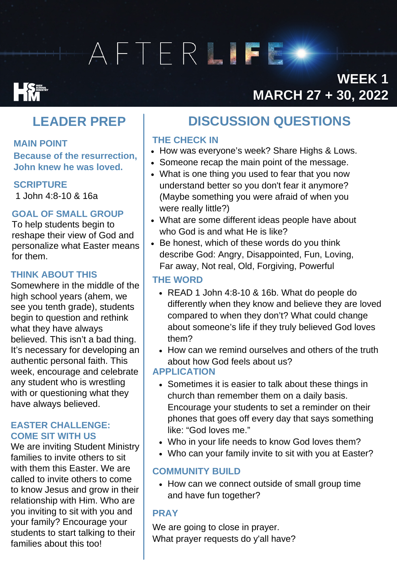# AFTERLIFE

## **SERIES**

### **WEEK1** MARCH 27 + 30, 2022

### **LEADER PREP**

#### **MAIN POINT**

**Because of the resurrection, John knew he was loved.**

1 John 4:8-10 & 16a **SCRIPTURE**

#### **GOAL OF SMALL GROUP**

To help students begin to reshape their view of God and personalize what Easter means for them.

### **THINK ABOUT THIS**

Somewhere in the middle of the high school years (ahem, we see you tenth grade), students begin to question and rethink what they have always believed. This isn't a bad thing. It's necessary for developing an authentic personal faith. This week, encourage and celebrate any student who is wrestling with or questioning what they have always believed.

#### **EASTER CHALLENGE: COME SIT WITH US**

We are inviting Student Ministry families to invite others to sit with them this Easter. We are called to invite others to come to know Jesus and grow in their relationship with Him. Who are you inviting to sit with you and your family? Encourage your students to start talking to their families about this too!

### DISCUSSION QUESTIONS **DISCUSSIONQUESTIONS**

### **THE CHECK IN**

- How was everyone's week? Share Highs & Lows.
- Someone recap the main point of the message.
- What is one thing you used to fear that you now understand better so you don't fear it anymore? (Maybe something you were afraid of when you were really little?)
- What are some different ideas people have about who God is and what He is like?
- Be honest, which of these words do you think describe God: Angry, Disappointed, Fun, Loving, Far away, Not real, Old, Forgiving, Powerful

### **THE WORD**

- READ 1 John 4:8-10 & 16b. What do people do differently when they know and believe they are loved compared to when they don't? What could change about someone's life if they truly believed God loves them?
- How can we remind ourselves and others of the truth about how God feels about us?

### **APPLICATION**

- Sometimes it is easier to talk about these things in church than remember them on a daily basis. Encourage your students to set a reminder on their phones that goes off every day that says something like: "God loves me."
- Who in your life needs to know God loves them?
- Who can your family invite to sit with you at Easter?

### **COMMUNITY BUILD**

• How can we connect outside of small group time and have fun together?

### **PRAY**

We are going to close in prayer. What prayer requests do y'all have?